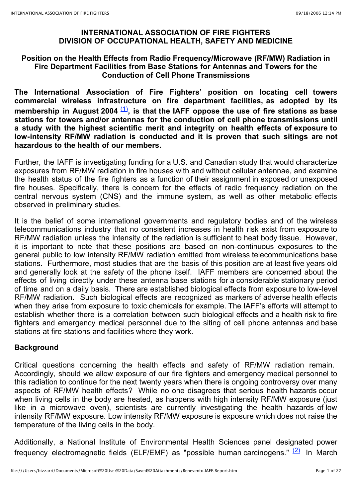# **INTERNATIONAL ASSOCIATION OF FIRE FIGHTERS DIVISION OF OCCUPATIONAL HEALTH, SAFETY AND MEDICINE**

## **Position on the Health Effects from Radio Frequency/Microwave (RF/MW) Radiation in Fire Department Facilities from Base Stations for Antennas and Towers for the Conduction of Cell Phone Transmissions**

**The International Association of Fire Fighters' position on locating cell towers commercial wireless infrastructure on fire department facilities, as adopted by its membership in August 2004** (1)**, is that the IAFF oppose the use of fire stations as base stations for towers and/or antennas for the conduction of cell phone transmissions until a study with the highest scientific merit and integrity on health effects of exposure to low-intensity RF/MW radiation is conducted and it is proven that such sitings are not hazardous to the health of our members.**

Further, the IAFF is investigating funding for a U.S. and Canadian study that would characterize exposures from RF/MW radiation in fire houses with and without cellular antennae, and examine the health status of the fire fighters as a function of their assignment in exposed or unexposed fire houses. Specifically, there is concern for the effects of radio frequency radiation on the central nervous system (CNS) and the immune system, as well as other metabolic effects observed in preliminary studies.

It is the belief of some international governments and regulatory bodies and of the wireless telecommunications industry that no consistent increases in health risk exist from exposure to RF/MW radiation unless the intensity of the radiation is sufficient to heat body tissue. However, it is important to note that these positions are based on non-continuous exposures to the general public to low intensity RF/MW radiation emitted from wireless telecommunications base stations. Furthermore, most studies that are the basis of this position are at least five years old and generally look at the safety of the phone itself. IAFF members are concerned about the effects of living directly under these antenna base stations for a considerable stationary period of time and on a daily basis. There are established biological effects from exposure to low-level RF/MW radiation. Such biological effects are recognized as markers of adverse health effects when they arise from exposure to toxic chemicals for example. The IAFF's efforts will attempt to establish whether there is a correlation between such biological effects and a health risk to fire fighters and emergency medical personnel due to the siting of cell phone antennas and base stations at fire stations and facilities where they work.

## **Background**

Critical questions concerning the health effects and safety of RF/MW radiation remain. Accordingly, should we allow exposure of our fire fighters and emergency medical personnel to this radiation to continue for the next twenty years when there is ongoing controversy over many aspects of RF/MW health effects? While no one disagrees that serious health hazards occur when living cells in the body are heated, as happens with high intensity RF/MW exposure (just like in a microwave oven), scientists are currently investigating the health hazards of low intensity RF/MW exposure. Low intensity RF/MW exposure is exposure which does not raise the temperature of the living cells in the body.

Additionally, a National Institute of Environmental Health Sciences panel designated power frequency electromagnetic fields (ELF/EMF) as "possible human carcinogens." $\frac{2}{2}$  In March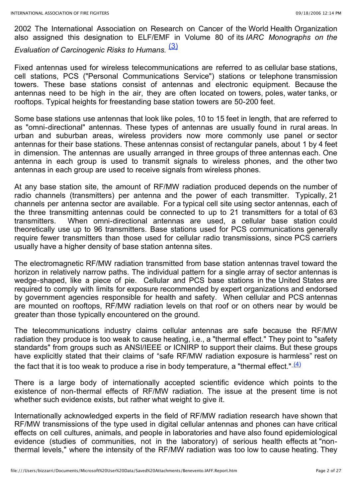2002 The International Association on Research on Cancer of the World Health Organization also assigned this designation to ELF/EMF in Volume 80 of its *IARC Monographs on the Evaluation of Carcinogenic Risks to Humans.* (3)

Fixed antennas used for wireless telecommunications are referred to as cellular base stations, cell stations, PCS ("Personal Communications Service") stations or telephone transmission towers. These base stations consist of antennas and electronic equipment. Because the antennas need to be high in the air, they are often located on towers, poles, water tanks, or rooftops. Typical heights for freestanding base station towers are 50-200 feet.

Some base stations use antennas that look like poles, 10 to 15 feet in length, that are referred to as "omni-directional" antennas. These types of antennas are usually found in rural areas. In urban and suburban areas, wireless providers now more commonly use panel or sector antennas for their base stations. These antennas consist of rectangular panels, about 1 by 4 feet in dimension. The antennas are usually arranged in three groups of three antennas each. One antenna in each group is used to transmit signals to wireless phones, and the other two antennas in each group are used to receive signals from wireless phones.

At any base station site, the amount of RF/MW radiation produced depends on the number of radio channels (transmitters) per antenna and the power of each transmitter. Typically, 21 channels per antenna sector are available. For a typical cell site using sector antennas, each of the three transmitting antennas could be connected to up to 21 transmitters for a total of 63 transmitters. When omni-directional antennas are used, a cellular base station could theoretically use up to 96 transmitters. Base stations used for PCS communications generally require fewer transmitters than those used for cellular radio transmissions, since PCS carriers usually have a higher density of base station antenna sites.

The electromagnetic RF/MW radiation transmitted from base station antennas travel toward the horizon in relatively narrow paths. The individual pattern for a single array of sector antennas is wedge-shaped, like a piece of pie. Cellular and PCS base stations in the United States are required to comply with limits for exposure recommended by expert organizations and endorsed by government agencies responsible for health and safety. When cellular and PCS antennas are mounted on rooftops, RF/MW radiation levels on that roof or on others near by would be greater than those typically encountered on the ground.

The telecommunications industry claims cellular antennas are safe because the RF/MW radiation they produce is too weak to cause heating, i.e., a "thermal effect." They point to "safety standards" from groups such as ANSI/IEEE or ICNIRP to support their claims. But these groups have explicitly stated that their claims of "safe RF/MW radiation exposure is harmless" rest on the fact that it is too weak to produce a rise in body temperature, a "thermal effect." $(4)$ 

There is a large body of internationally accepted scientific evidence which points to the existence of non-thermal effects of RF/MW radiation. The issue at the present time is not whether such evidence exists, but rather what weight to give it.

Internationally acknowledged experts in the field of RF/MW radiation research have shown that RF/MW transmissions of the type used in digital cellular antennas and phones can have critical effects on cell cultures, animals, and people in laboratories and have also found epidemiological evidence (studies of communities, not in the laboratory) of serious health effects at "nonthermal levels," where the intensity of the RF/MW radiation was too low to cause heating. They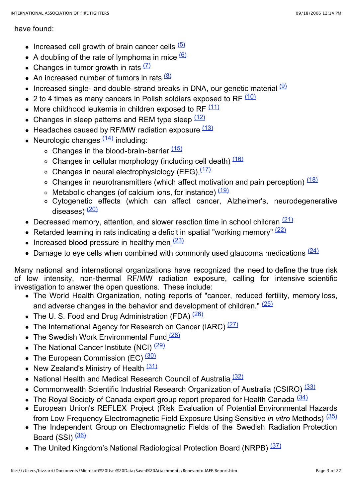### have found:

- Increased cell growth of brain cancer cells  $\frac{(5)}{2}$
- A doubling of the rate of lymphoma in mice  $\frac{(6)}{6}$
- Changes in tumor growth in rats  $\frac{7}{2}$
- An increased number of tumors in rats  $\frac{(8)}{8}$
- Increased single- and double-strand breaks in DNA, our genetic material  $\frac{(9)}{2}$
- $\bullet$  2 to 4 times as many cancers in Polish soldiers exposed to RF  $(10)$
- More childhood leukemia in children exposed to RF  $(11)$
- Changes in sleep patterns and REM type sleep  $(12)$
- $\bullet$  Headaches caused by RF/MW radiation exposure  $(13)$
- Neurologic changes  $(14)$  including:
	- o Changes in the blood-brain-barrier (15)
	- o Changes in cellular morphology (including cell death)  $(16)$
	- o Changes in neural electrophysiology (EEG) (17)
	- Changes in neurotransmitters (which affect motivation and pain perception)  $(18)$
	- o Metabolic changes (of calcium ions, for instance)  $(19)$
	- Cytogenetic effects (which can affect cancer, Alzheimer's, neurodegenerative diseases) (20)
- Decreased memory, attention, and slower reaction time in school children  $(21)$
- Retarded learning in rats indicating a deficit in spatial "working memory"  $(22)$
- Increased blood pressure in healthy men  $\frac{(23)}{2}$
- Damage to eye cells when combined with commonly used glaucoma medications  $\frac{(24)}{24}$

Many national and international organizations have recognized the need to define the true risk of low intensity, non-thermal RF/MW radiation exposure, calling for intensive scientific investigation to answer the open questions. These include:

- The World Health Organization, noting reports of "cancer, reduced fertility, memory loss, and adverse changes in the behavior and development of children."  $(25)$
- The U. S. Food and Drug Administration (FDA)  $(26)$
- The International Agency for Research on Cancer (IARC) <sup>(27)</sup>
- The Swedish Work Environmental Fund  $(28)$
- The National Cancer Institute (NCI)  $(29)$
- The European Commission (EC)  $\frac{(30)}{ }$
- New Zealand's Ministry of Health  $\frac{(31)}{2}$
- National Health and Medical Research Council of Australia  $\frac{(32)}{2}$
- Commonwealth Scientific Industrial Research Organization of Australia (CSIRO) (33)
- The Royal Society of Canada expert group report prepared for Health Canada  $\frac{(34)}{(24)}$
- European Union's REFLEX Project (Risk Evaluation of Potential Environmental Hazards from Low Frequency Electromagnetic Field Exposure Using Sensitive *in vitro* Methods) (35)
- The Independent Group on Electromagnetic Fields of the Swedish Radiation Protection Board (SSI) (36)
- The United Kingdom's National Radiological Protection Board (NRPB) (37)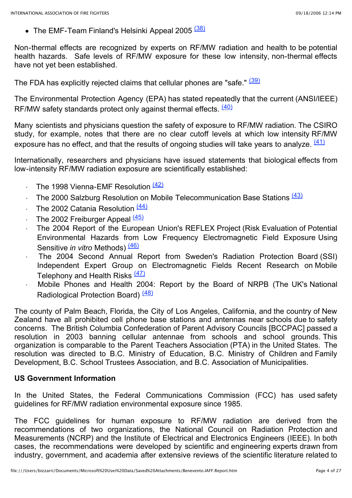• The EMF-Team Finland's Helsinki Appeal 2005  $\frac{(38)}{28}$ 

Non-thermal effects are recognized by experts on RF/MW radiation and health to be potential health hazards. Safe levels of RF/MW exposure for these low intensity, non-thermal effects have not yet been established.

The FDA has explicitly rejected claims that cellular phones are "safe."  $(39)$ 

The Environmental Protection Agency (EPA) has stated repeatedly that the current (ANSI/IEEE) RF/MW safety standards protect only against thermal effects.  $(40)$ 

Many scientists and physicians question the safety of exposure to RF/MW radiation. The CSIRO study, for example, notes that there are no clear cutoff levels at which low intensity RF/MW exposure has no effect, and that the results of ongoing studies will take years to analyze.  $(41)$ 

Internationally, researchers and physicians have issued statements that biological effects from low-intensity RF/MW radiation exposure are scientifically established:

- The 1998 Vienna-EMF Resolution (42)
- <sup>1</sup> The 2000 Salzburg Resolution on Mobile Telecommunication Base Stations (43)
- $\cdot$  The 2002 Catania Resolution  $\frac{(44)}{4}$
- The 2002 Freiburger Appeal (45)
- · The 2004 Report of the European Union's REFLEX Project (Risk Evaluation of Potential Environmental Hazards from Low Frequency Electromagnetic Field Exposure Using Sensitive *in vitro* Methods) (46)
- · The 2004 Second Annual Report from Sweden's Radiation Protection Board (SSI) Independent Expert Group on Electromagnetic Fields Recent Research on Mobile Telephony and Health Risks (47)
- Mobile Phones and Health 2004: Report by the Board of NRPB (The UK's National Radiological Protection Board) (48)

The county of Palm Beach, Florida, the City of Los Angeles, California, and the country of New Zealand have all prohibited cell phone base stations and antennas near schools due to safety concerns. The British Columbia Confederation of Parent Advisory Councils [BCCPAC] passed a resolution in 2003 banning cellular antennae from schools and school grounds. This organization is comparable to the Parent Teachers Association (PTA) in the United States. The resolution was directed to B.C. Ministry of Education, B.C. Ministry of Children and Family Development, B.C. School Trustees Association, and B.C. Association of Municipalities.

### **US Government Information**

In the United States, the Federal Communications Commission (FCC) has used safety guidelines for RF/MW radiation environmental exposure since 1985.

The FCC guidelines for human exposure to RF/MW radiation are derived from the recommendations of two organizations, the National Council on Radiation Protection and Measurements (NCRP) and the Institute of Electrical and Electronics Engineers (IEEE). In both cases, the recommendations were developed by scientific and engineering experts drawn from industry, government, and academia after extensive reviews of the scientific literature related to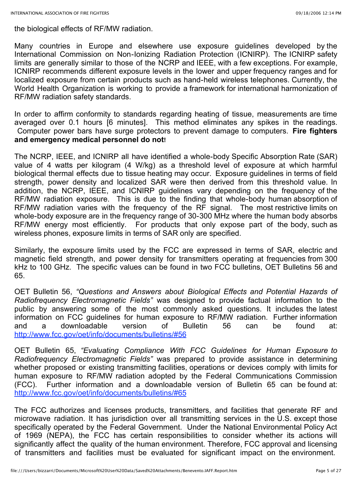the biological effects of RF/MW radiation.

Many countries in Europe and elsewhere use exposure guidelines developed by the International Commission on Non-Ionizing Radiation Protection (ICNIRP). The ICNIRP safety limits are generally similar to those of the NCRP and IEEE, with a few exceptions. For example, ICNIRP recommends different exposure levels in the lower and upper frequency ranges and for localized exposure from certain products such as hand-held wireless telephones. Currently, the World Health Organization is working to provide a framework for international harmonization of RF/MW radiation safety standards.

In order to affirm conformity to standards regarding heating of tissue, measurements are time averaged over 0.1 hours [6 minutes]. This method eliminates any spikes in the readings. Computer power bars have surge protectors to prevent damage to computers. **Fire fighters and emergency medical personnel do not!**

The NCRP, IEEE, and ICNIRP all have identified a whole-body Specific Absorption Rate (SAR) value of 4 watts per kilogram (4 W/kg) as a threshold level of exposure at which harmful biological thermal effects due to tissue heating may occur. Exposure guidelines in terms of field strength, power density and localized SAR were then derived from this threshold value. In addition, the NCRP, IEEE, and ICNIRP guidelines vary depending on the frequency of the RF/MW radiation exposure. This is due to the finding that whole-body human absorption of RF/MW radiation varies with the frequency of the RF signal. The most restrictive limits on whole-body exposure are in the frequency range of 30-300 MHz where the human body absorbs RF/MW energy most efficiently. For products that only expose part of the body, such as wireless phones, exposure limits in terms of SAR only are specified.

Similarly, the exposure limits used by the FCC are expressed in terms of SAR, electric and magnetic field strength, and power density for transmitters operating at frequencies from 300 kHz to 100 GHz. The specific values can be found in two FCC bulletins, OET Bulletins 56 and 65.

OET Bulletin 56, *"Questions and Answers about Biological Effects and Potential Hazards of Radiofrequency Electromagnetic Fields"* was designed to provide factual information to the public by answering some of the most commonly asked questions. It includes the latest information on FCC guidelines for human exposure to RF/MW radiation. Further information and a downloadable version of Bulletin 56 can be found at: http://www.fcc.gov/oet/info/documents/bulletins/#56

OET Bulletin 65, *"Evaluating Compliance With FCC Guidelines for Human Exposure to Radiofrequency Electromagnetic Fields"* was prepared to provide assistance in determining whether proposed or existing transmitting facilities, operations or devices comply with limits for human exposure to RF/MW radiation adopted by the Federal Communications Commission (FCC). Further information and a downloadable version of Bulletin 65 can be found at: http://www.fcc.gov/oet/info/documents/bulletins/#65

The FCC authorizes and licenses products, transmitters, and facilities that generate RF and microwave radiation. It has jurisdiction over all transmitting services in the U.S. except those specifically operated by the Federal Government. Under the National Environmental Policy Act of 1969 (NEPA), the FCC has certain responsibilities to consider whether its actions will significantly affect the quality of the human environment. Therefore, FCC approval and licensing of transmitters and facilities must be evaluated for significant impact on the environment.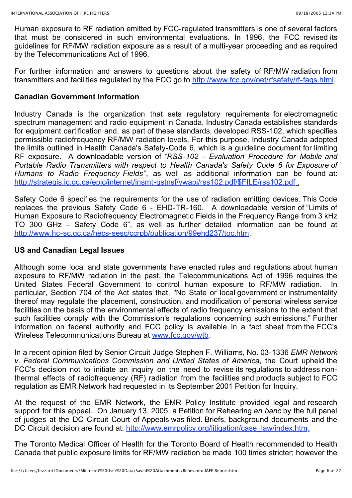Human exposure to RF radiation emitted by FCC-regulated transmitters is one of several factors that must be considered in such environmental evaluations. In 1996, the FCC revised its guidelines for RF/MW radiation exposure as a result of a multi-year proceeding and as required by the Telecommunications Act of 1996.

For further information and answers to questions about the safety of RF/MW radiation from transmitters and facilities regulated by the FCC go to http://www.fcc.gov/oet/rfsafety/rf-faqs.html.

### **Canadian Government Information**

Industry Canada is the organization that sets regulatory requirements for electromagnetic spectrum management and radio equipment in Canada. Industry Canada establishes standards for equipment certification and, as part of these standards, developed RSS-102, which specifies permissible radiofrequency RF/MW radiation levels. For this purpose, Industry Canada adopted the limits outlined in Health Canada's Safety-Code 6, which is a guideline document for limiting RF exposure. A downloadable version of *"RSS-102 - Evaluation Procedure for Mobile and Portable Radio Transmitters with respect to Health Canada's Safety Code 6 for Exposure of Humans to Radio Frequency Fields"*, as well as additional information can be found at: http://strategis.ic.gc.ca/epic/internet/insmt-gstnsf/vwapj/rss102.pdf/\$FILE/rss102.pdf .

Safety Code 6 specifies the requirements for the use of radiation emitting devices. This Code replaces the previous Safety Code 6 - EHD-TR-160. A downloadable version of "Limits of Human Exposure to Radiofrequency Electromagnetic Fields in the Frequency Range from 3 kHz TO 300 GHz – Safety Code 6", as well as further detailed information can be found at http://www.hc-sc.gc.ca/hecs-sesc/ccrpb/publication/99ehd237/toc.htm.

### **US and Canadian Legal Issues**

Although some local and state governments have enacted rules and regulations about human exposure to RF/MW radiation in the past, the Telecommunications Act of 1996 requires the United States Federal Government to control human exposure to RF/MW radiation. In particular, Section 704 of the Act states that, "No State or local government or instrumentality thereof may regulate the placement, construction, and modification of personal wireless service facilities on the basis of the environmental effects of radio frequency emissions to the extent that such facilities comply with the Commission's regulations concerning such emissions." Further information on federal authority and FCC policy is available in a fact sheet from the FCC's Wireless Telecommunications Bureau at www.fcc.gov/wtb.

In a recent opinion filed by Senior Circuit Judge Stephen F. Williams, No. 03-1336 *EMR Network v. Federal Communications Commission and United States of America*, the Court upheld the FCC's decision not to initiate an inquiry on the need to revise its regulations to address nonthermal effects of radiofrequency (RF) radiation from the facilities and products subject to FCC regulation as EMR Network had requested in its September 2001 Petition for Inquiry.

At the request of the EMR Network, the EMR Policy Institute provided legal and research support for this appeal. On January 13, 2005, a Petition for Rehearing *en banc* by the full panel of judges at the DC Circuit Court of Appeals was filed. Briefs, background documents and the DC Circuit decision are found at: http://www.emrpolicy.org/litigation/case\_law/index.htm.

The Toronto Medical Officer of Health for the Toronto Board of Health recommended to Health Canada that public exposure limits for RF/MW radiation be made 100 times stricter; however the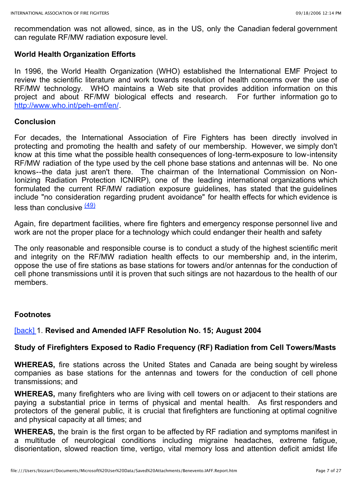recommendation was not allowed, since, as in the US, only the Canadian federal government can regulate RF/MW radiation exposure level.

### **World Health Organization Efforts**

In 1996, the World Health Organization (WHO) established the International EMF Project to review the scientific literature and work towards resolution of health concerns over the use of RF/MW technology. WHO maintains a Web site that provides addition information on this project and about RF/MW biological effects and research. For further information go to http://www.who.int/peh-emf/en/.

#### **Conclusion**

For decades, the International Association of Fire Fighters has been directly involved in protecting and promoting the health and safety of our membership. However, we simply don't know at this time what the possible health consequences of long-term exposure to low-intensity RF/MW radiation of the type used by the cell phone base stations and antennas will be. No one knows--the data just aren't there. The chairman of the International Commission on Non-Ionizing Radiation Protection ICNIRP), one of the leading international organizations which formulated the current RF/MW radiation exposure guidelines, has stated that the guidelines include "no consideration regarding prudent avoidance" for health effects for which evidence is less than conclusive  $\frac{(49)}{6}$ 

Again, fire department facilities, where fire fighters and emergency response personnel live and work are not the proper place for a technology which could endanger their health and safety

The only reasonable and responsible course is to conduct a study of the highest scientific merit and integrity on the RF/MW radiation health effects to our membership and, in the interim, oppose the use of fire stations as base stations for towers and/or antennas for the conduction of cell phone transmissions until it is proven that such sitings are not hazardous to the health of our members.

### **Footnotes**

### [back] 1. **Revised and Amended IAFF Resolution No. 15; August 2004**

### **Study of Firefighters Exposed to Radio Frequency (RF) Radiation from Cell Towers/Masts**

**WHEREAS,** fire stations across the United States and Canada are being sought by wireless companies as base stations for the antennas and towers for the conduction of cell phone transmissions; and

**WHEREAS,** many firefighters who are living with cell towers on or adjacent to their stations are paying a substantial price in terms of physical and mental health. As first responders and protectors of the general public, it is crucial that firefighters are functioning at optimal cognitive and physical capacity at all times; and

**WHEREAS,** the brain is the first organ to be affected by RF radiation and symptoms manifest in a multitude of neurological conditions including migraine headaches, extreme fatigue, disorientation, slowed reaction time, vertigo, vital memory loss and attention deficit amidst life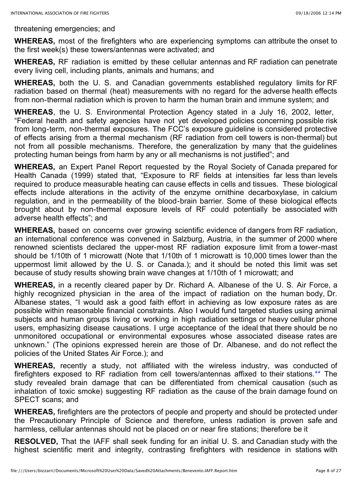threatening emergencies; and

**WHEREAS,** most of the firefighters who are experiencing symptoms can attribute the onset to the first week(s) these towers/antennas were activated; and

**WHEREAS,** RF radiation is emitted by these cellular antennas and RF radiation can penetrate every living cell, including plants, animals and humans; and

**WHEREAS,** both the U. S. and Canadian governments established regulatory limits for RF radiation based on thermal (heat) measurements with no regard for the adverse health effects from non-thermal radiation which is proven to harm the human brain and immune system; and

**WHEREAS**, the U. S. Environmental Protection Agency stated in a July 16, 2002, letter, "Federal health and safety agencies have not yet developed policies concerning possible risk from long-term, non-thermal exposures. The FCC's exposure guideline is considered protective of effects arising from a thermal mechanism (RF radiation from cell towers is non-thermal) but not from all possible mechanisms. Therefore, the generalization by many that the guidelines protecting human beings from harm by any or all mechanisms is not justified"; and

**WHEREAS,** an Expert Panel Report requested by the Royal Society of Canada prepared for Health Canada (1999) stated that, "Exposure to RF fields at intensities far less than levels required to produce measurable heating can cause effects in cells and tissues. These biological effects include alterations in the activity of the enzyme ornithine decarboxylase, in calcium regulation, and in the permeability of the blood-brain barrier. Some of these biological effects brought about by non-thermal exposure levels of RF could potentially be associated with adverse health effects"; and

**WHEREAS,** based on concerns over growing scientific evidence of dangers from RF radiation, an international conference was convened in Salzburg, Austria, in the summer of 2000 where renowned scientists declared the upper-most RF radiation exposure limit from a tower-mast should be 1/10th of 1 microwatt (Note that 1/10th of 1 microwatt is 10,000 times lower than the uppermost limit allowed by the U. S. or Canada.); and it should be noted this limit was set because of study results showing brain wave changes at 1/10th of 1 microwatt; and

**WHEREAS,** in a recently cleared paper by Dr. Richard A. Albanese of the U. S. Air Force, a highly recognized physician in the area of the impact of radiation on the human body, Dr. Albanese states, "I would ask a good faith effort in achieving as low exposure rates as are possible within reasonable financial constraints. Also I would fund targeted studies using animal subjects and human groups living or working in high radiation settings or heavy cellular phone users, emphasizing disease causations. I urge acceptance of the ideal that there should be no unmonitored occupational or environmental exposures whose associated disease rates are unknown." (The opinions expressed herein are those of Dr. Albanese, and do not reflect the policies of the United States Air Force.); and

**WHEREAS,** recently a study, not affiliated with the wireless industry, was conducted of firefighters exposed to RF radiation from cell towers/antennas affixed to their stations.\*\* The study revealed brain damage that can be differentiated from chemical causation (such as inhalation of toxic smoke) suggesting RF radiation as the cause of the brain damage found on SPECT scans; and

**WHEREAS,** firefighters are the protectors of people and property and should be protected under the Precautionary Principle of Science and therefore, unless radiation is proven safe and harmless, cellular antennas should not be placed on or near fire stations; therefore be it

**RESOLVED,** That the IAFF shall seek funding for an initial U. S. and Canadian study with the highest scientific merit and integrity, contrasting firefighters with residence in stations with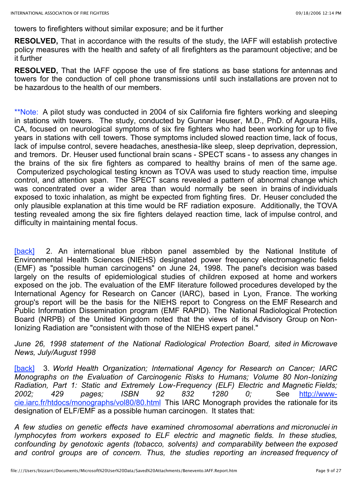towers to firefighters without similar exposure; and be it further

**RESOLVED,** That in accordance with the results of the study, the IAFF will establish protective policy measures with the health and safety of all firefighters as the paramount objective; and be it further

**RESOLVED,** That the IAFF oppose the use of fire stations as base stations for antennas and towers for the conduction of cell phone transmissions until such installations are proven not to be hazardous to the health of our members.

\*\*Note: A pilot study was conducted in 2004 of six California fire fighters working and sleeping in stations with towers. The study, conducted by Gunnar Heuser, M.D., PhD. of Agoura Hills, CA, focused on neurological symptoms of six fire fighters who had been working for up to five years in stations with cell towers. Those symptoms included slowed reaction time, lack of focus, lack of impulse control, severe headaches, anesthesia-like sleep, sleep deprivation, depression, and tremors. Dr. Heuser used functional brain scans - SPECT scans - to assess any changes in the brains of the six fire fighters as compared to healthy brains of men of the same age. Computerized psychological testing known as TOVA was used to study reaction time, impulse control, and attention span. The SPECT scans revealed a pattern of abnormal change which was concentrated over a wider area than would normally be seen in brains of individuals exposed to toxic inhalation, as might be expected from fighting fires. Dr. Heuser concluded the only plausible explanation at this time would be RF radiation exposure. Additionally, the TOVA testing revealed among the six fire fighters delayed reaction time, lack of impulse control, and difficulty in maintaining mental focus.

[back] 2. An international blue ribbon panel assembled by the National Institute of Environmental Health Sciences (NIEHS) designated power frequency electromagnetic fields (EMF) as "possible human carcinogens" on June 24, 1998. The panel's decision was based largely on the results of epidemiological studies of children exposed at home and workers exposed on the job. The evaluation of the EMF literature followed procedures developed by the International Agency for Research on Cancer (IARC), based in Lyon, France. The working group's report will be the basis for the NIEHS report to Congress on the EMF Research and Public Information Dissemination program (EMF RAPID). The National Radiological Protection Board (NRPB) of the United Kingdom noted that the views of its Advisory Group on Non-Ionizing Radiation are "consistent with those of the NIEHS expert panel."

*June 26, 1998 statement of the National Radiological Protection Board, sited in Microwave News, July/August 1998*

[back] 3. *World Health Organization; International Agency for Research on Cancer; IARC Monographs on the Evaluation of Carcinogenic Risks to Humans; Volume 80 Non-Ionizing Radiation, Part 1: Static and Extremely Low-Frequency (ELF) Electric and Magnetic Fields; 2002; 429 pages; ISBN 92 832 1280 0;* See http://wwwcie.iarc.fr/htdocs/monographs/vol80/80.html This IARC Monograph provides the rationale for its designation of ELF/EMF as a possible human carcinogen. It states that:

*A few studies on genetic effects have examined chromosomal aberrations and micronuclei in lymphocytes from workers exposed to ELF electric and magnetic fields. In these studies, confounding by genotoxic agents (tobacco, solvents) and comparability between the exposed and control groups are of concern. Thus, the studies reporting an increased frequency of*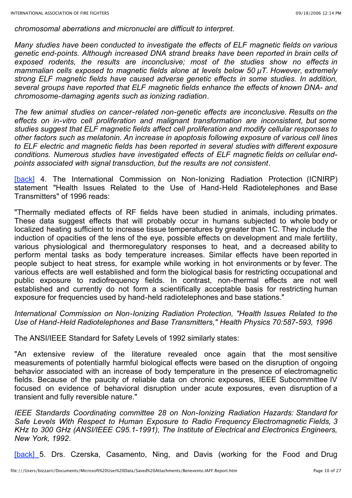*chromosomal aberrations and micronuclei are difficult to interpret.*

*Many studies have been conducted to investigate the effects of ELF magnetic fields on various genetic end-points. Although increased DNA strand breaks have been reported in brain cells of exposed rodents, the results are inconclusive; most of the studies show no effects in mammalian cells exposed to magnetic fields alone at levels below 50 µT. However, extremely strong ELF magnetic fields have caused adverse genetic effects in some studies. In addition, several groups have reported that ELF magnetic fields enhance the effects of known DNA- and chromosome-damaging agents such as ionizing radiation*.

*The few animal studies on cancer-related non-genetic effects are inconclusive. Results on the effects on in-vitro cell proliferation and malignant transformation are inconsistent, but some studies suggest that ELF magnetic fields affect cell proliferation and modify cellular responses to other factors such as melatonin. An increase in apoptosis following exposure of various cell lines to ELF electric and magnetic fields has been reported in several studies with different exposure conditions. Numerous studies have investigated effects of ELF magnetic fields on cellular endpoints associated with signal transduction, but the results are not consistent*.

[back] 4. The International Commission on Non-Ionizing Radiation Protection (ICNIRP) statement "Health Issues Related to the Use of Hand-Held Radiotelephones and Base Transmitters" of 1996 reads:

"Thermally mediated effects of RF fields have been studied in animals, including primates. These data suggest effects that will probably occur in humans subjected to whole body or localized heating sufficient to increase tissue temperatures by greater than 1C. They include the induction of opacities of the lens of the eye, possible effects on development and male fertility, various physiological and thermoregulatory responses to heat, and a decreased ability to perform mental tasks as body temperature increases. Similar effects have been reported in people subject to heat stress, for example while working in hot environments or by fever. The various effects are well established and form the biological basis for restricting occupational and public exposure to radiofrequency fields. In contrast, non-thermal effects are not well established and currently do not form a scientifically acceptable basis for restricting human exposure for frequencies used by hand-held radiotelephones and base stations."

*International Commission on Non-Ionizing Radiation Protection, "Health Issues Related to the Use of Hand-Held Radiotelephones and Base Transmitters," Health Physics 70:587-593, 1996*

The ANSI/IEEE Standard for Safety Levels of 1992 similarly states:

"An extensive review of the literature revealed once again that the most sensitive measurements of potentially harmful biological effects were based on the disruption of ongoing behavior associated with an increase of body temperature in the presence of electromagnetic fields. Because of the paucity of reliable data on chronic exposures, IEEE Subcommittee IV focused on evidence of behavioral disruption under acute exposures, even disruption of a transient and fully reversible nature."

*IEEE Standards Coordinating committee 28 on Non-Ionizing Radiation Hazards: Standard for Safe Levels With Respect to Human Exposure to Radio Frequency Electromagnetic Fields, 3 KHz to 300 GHz (ANSI/IEEE C95.1-1991), The Institute of Electrical and Electronics Engineers, New York, 1992*.

[back] 5. Drs. Czerska, Casamento, Ning, and Davis (working for the Food and Drug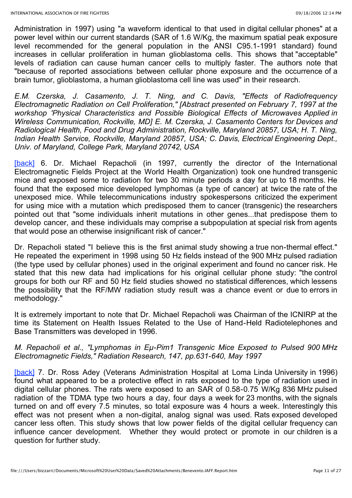Administration in 1997) using "a waveform identical to that used in digital cellular phones" at a power level within our current standards (SAR of 1.6 W/Kg, the maximum spatial peak exposure level recommended for the general population in the ANSI C95.1-1991 standard) found increases in cellular proliferation in human glioblastoma cells. This shows that "acceptable" levels of radiation can cause human cancer cells to multiply faster. The authors note that "because of reported associations between cellular phone exposure and the occurrence of a brain tumor, glioblastoma, a human glioblastoma cell line was used" in their research.

*E.M. Czerska, J. Casamento, J. T. Ning, and C. Davis, "Effects of Radiofrequency Electromagnetic Radiation on Cell Proliferation," [Abstract presented on February 7, 1997 at the workshop 'Physical Characteristics and Possible Biological Effects of Microwaves Applied in Wireless Communication, Rockville, MD] E. M. Czerska, J. Casamento Centers for Devices and Radiological Health, Food and Drug Administration, Rockville, Maryland 20857, USA; H. T. Ning, Indian Health Service, Rockville, Maryland 20857, USA; C. Davis, Electrical Engineering Dept., Univ. of Maryland, College Park, Maryland 20742, USA*

[back] 6. Dr. Michael Repacholi (in 1997, currently the director of the International Electromagnetic Fields Project at the World Health Organization) took one hundred transgenic mice and exposed some to radiation for two 30 minute periods a day for up to 18 months. He found that the exposed mice developed lymphomas (a type of cancer) at twice the rate of the unexposed mice. While telecommunications industry spokespersons criticized the experiment for using mice with a mutation which predisposed them to cancer (transgenic) the researchers pointed out that "some individuals inherit mutations in other genes...that predispose them to develop cancer, and these individuals may comprise a subpopulation at special risk from agents that would pose an otherwise insignificant risk of cancer."

Dr. Repacholi stated "I believe this is the first animal study showing a true non-thermal effect." He repeated the experiment in 1998 using 50 Hz fields instead of the 900 MHz pulsed radiation (the type used by cellular phones) used in the original experiment and found no cancer risk. He stated that this new data had implications for his original cellular phone study: "the control groups for both our RF and 50 Hz field studies showed no statistical differences, which lessens the possibility that the RF/MW radiation study result was a chance event or due to errors in methodology."

It is extremely important to note that Dr. Michael Repacholi was Chairman of the ICNIRP at the time its Statement on Health Issues Related to the Use of Hand-Held Radiotelephones and Base Transmitters was developed in 1996.

### *M. Repacholi et al., "Lymphomas in Eµ-Pim1 Transgenic Mice Exposed to Pulsed 900 MHz Electromagnetic Fields," Radiation Research, 147, pp.631-640, May 1997*

[back] 7. Dr. Ross Adey (Veterans Administration Hospital at Loma Linda University in 1996) found what appeared to be a protective effect in rats exposed to the type of radiation used in digital cellular phones. The rats were exposed to an SAR of 0.58-0.75 W/Kg 836 MHz pulsed radiation of the TDMA type two hours a day, four days a week for 23 months, with the signals turned on and off every 7.5 minutes, so total exposure was 4 hours a week. Interestingly this effect was not present when a non-digital, analog signal was used. Rats exposed developed cancer less often. This study shows that low power fields of the digital cellular frequency can influence cancer development. Whether they would protect or promote in our children is a question for further study.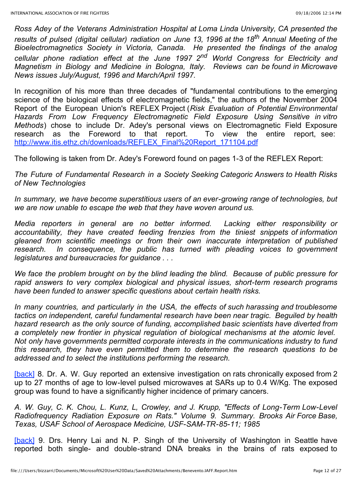*Ross Adey of the Veterans Administration Hospital at Loma Linda University, CA presented the results of pulsed (digital cellular) radiation on June 13, 1996 at the 18th Annual Meeting of the Bioelectromagnetics Society in Victoria, Canada. He presented the findings of the analog cellular phone radiation effect at the June 1997 2nd World Congress for Electricity and Magnetism in Biology and Medicine in Bologna, Italy. Reviews can be found in Microwave News issues July/August, 1996 and March/April 1997.*

In recognition of his more than three decades of "fundamental contributions to the emerging science of the biological effects of electromagnetic fields," the authors of the November 2004 Report of the European Union's REFLEX Project (*Risk Evaluation of Potential Environmental Hazards From Low Frequency Electromagnetic Field Exposure Using Sensitive in vitro Methods*) chose to include Dr. Adey's personal views on Electromagnetic Field Exposure research as the Foreword to that report. To view the entire report, see: http://www.itis.ethz.ch/downloads/REFLEX\_Final%20Report\_171104.pdf

The following is taken from Dr. Adey's Foreword found on pages 1-3 of the REFLEX Report:

*The Future of Fundamental Research in a Society Seeking Categoric Answers to Health Risks of New Technologies*

*In summary, we have become superstitious users of an ever-growing range of technologies, but we are now unable to escape the web that they have woven around us.*

*Media reporters in general are no better informed. Lacking either responsibility or accountability, they have created feeding frenzies from the tiniest snippets of information gleaned from scientific meetings or from their own inaccurate interpretation of published research. In consequence, the public has turned with pleading voices to government legislatures and bureaucracies for guidance . . .*

*We face the problem brought on by the blind leading the blind. Because of public pressure for rapid answers to very complex biological and physical issues, short-term research programs have been funded to answer specific questions about certain health risks.*

*In many countries, and particularly in the USA, the effects of such harassing and troublesome tactics on independent, careful fundamental research have been near tragic. Beguiled by health hazard research as the only source of funding, accomplished basic scientists have diverted from a completely new frontier in physical regulation of biological mechanisms at the atomic level. Not only have governments permitted corporate interests in the communications industry to fund this research, they have even permitted them to determine the research questions to be addressed and to select the institutions performing the research.*

[back] 8. Dr. A. W. Guy reported an extensive investigation on rats chronically exposed from 2 up to 27 months of age to low-level pulsed microwaves at SARs up to 0.4 W/Kg. The exposed group was found to have a significantly higher incidence of primary cancers.

*A. W. Guy, C. K. Chou, L. Kunz, L, Crowley, and J. Krupp, "Effects of Long-Term Low-Level Radiofrequency Radiation Exposure on Rats." Volume 9. Summary. Brooks Air Force Base, Texas, USAF School of Aerospace Medicine, USF-SAM-TR-85-11; 1985*

[back] 9. Drs. Henry Lai and N. P. Singh of the University of Washington in Seattle have reported both single- and double-strand DNA breaks in the brains of rats exposed to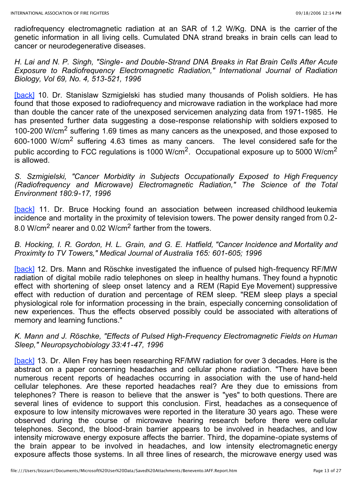radiofrequency electromagnetic radiation at an SAR of 1.2 W/Kg. DNA is the carrier of the genetic information in all living cells. Cumulated DNA strand breaks in brain cells can lead to cancer or neurodegenerative diseases.

*H. Lai and N. P. Singh, "Single- and Double-Strand DNA Breaks in Rat Brain Cells After Acute Exposure to Radiofrequency Electromagnetic Radiation," International Journal of Radiation Biology, Vol 69, No. 4, 513-521, 1996*

[back] 10. Dr. Stanislaw Szmigielski has studied many thousands of Polish soldiers. He has found that those exposed to radiofrequency and microwave radiation in the workplace had more than double the cancer rate of the unexposed servicemen analyzing data from 1971-1985. He has presented further data suggesting a dose-response relationship with soldiers exposed to 100-200 W/cm<sup>2</sup> suffering 1.69 times as many cancers as the unexposed, and those exposed to 600-1000 W/cm<sup>2</sup> suffering 4.63 times as many cancers. The level considered safe for the public according to FCC regulations is 1000 W/cm2. Occupational exposure up to 5000 W/cm<sup>2</sup> is allowed.

*S. Szmigielski, "Cancer Morbidity in Subjects Occupationally Exposed to High Frequency (Radiofrequency and Microwave) Electromagnetic Radiation," The Science of the Total Environment 180:9-17, 1996*

[back] 11. Dr. Bruce Hocking found an association between increased childhood leukemia incidence and mortality in the proximity of television towers. The power density ranged from 0.2-8.0 W/cm<sup>2</sup> nearer and 0.02 W/cm<sup>2</sup> farther from the towers.

*B. Hocking, I. R. Gordon, H. L. Grain, and G. E. Hatfield, "Cancer Incidence and Mortality and Proximity to TV Towers," Medical Journal of Australia 165: 601-605; 1996*

[back] 12. Drs. Mann and Röschke investigated the influence of pulsed high-frequency RF/MW radiation of digital mobile radio telephones on sleep in healthy humans. They found a hypnotic effect with shortening of sleep onset latency and a REM (Rapid Eye Movement) suppressive effect with reduction of duration and percentage of REM sleep. "REM sleep plays a special physiological role for information processing in the brain, especially concerning consolidation of new experiences. Thus the effects observed possibly could be associated with alterations of memory and learning functions."

*K. Mann and J. Röschke, "Effects of Pulsed High-Frequency Electromagnetic Fields on Human Sleep," Neuropsychobiology 33:41-47, 1996*

[back] 13. Dr. Allen Frey has been researching RF/MW radiation for over 3 decades. Here is the abstract on a paper concerning headaches and cellular phone radiation. "There have been numerous recent reports of headaches occurring in association with the use of hand-held cellular telephones. Are these reported headaches real? Are they due to emissions from telephones? There is reason to believe that the answer is "yes" to both questions. There are several lines of evidence to support this conclusion. First, headaches as a consequence of exposure to low intensity microwaves were reported in the literature 30 years ago. These were observed during the course of microwave hearing research before there were cellular telephones. Second, the blood-brain barrier appears to be involved in headaches, and low intensity microwave energy exposure affects the barrier. Third, the dopamine-opiate systems of the brain appear to be involved in headaches, and low intensity electromagnetic energy exposure affects those systems. In all three lines of research, the microwave energy used was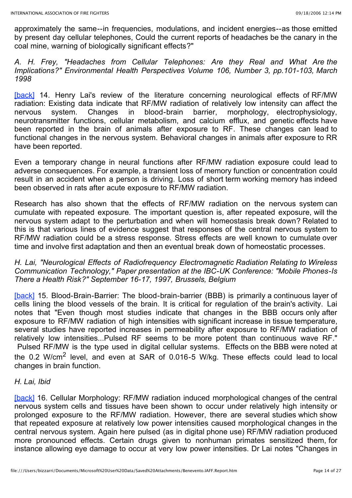approximately the same--in frequencies, modulations, and incident energies--as those emitted by present day cellular telephones, Could the current reports of headaches be the canary in the coal mine, warning of biologically significant effects?"

*A. H. Frey, "Headaches from Cellular Telephones: Are they Real and What Are the Implications?" Environmental Health Perspectives Volume 106, Number 3, pp.101-103, March 1998*

[back] 14. Henry Lai's review of the literature concerning neurological effects of RF/MW radiation: Existing data indicate that RF/MW radiation of relatively low intensity can affect the nervous system. Changes in blood-brain barrier, morphology, electrophysiology, neurotransmitter functions, cellular metabolism, and calcium efflux, and genetic effects have been reported in the brain of animals after exposure to RF. These changes can lead to functional changes in the nervous system. Behavioral changes in animals after exposure to RR have been reported.

Even a temporary change in neural functions after RF/MW radiation exposure could lead to adverse consequences. For example, a transient loss of memory function or concentration could result in an accident when a person is driving. Loss of short term working memory has indeed been observed in rats after acute exposure to RF/MW radiation.

Research has also shown that the effects of RF/MW radiation on the nervous system can cumulate with repeated exposure. The important question is, after repeated exposure, will the nervous system adapt to the perturbation and when will homeostasis break down? Related to this is that various lines of evidence suggest that responses of the central nervous system to RF/MW radiation could be a stress response. Stress effects are well known to cumulate over time and involve first adaptation and then an eventual break down of homeostatic processes.

### *H. Lai, "Neurological Effects of Radiofrequency Electromagnetic Radiation Relating to Wireless Communication Technology," Paper presentation at the IBC-UK Conference: "Mobile Phones-Is There a Health Risk?" September 16-17, 1997, Brussels, Belgium*

[back] 15. Blood-Brain-Barrier: The blood-brain-barrier (BBB) is primarily a continuous layer of cells lining the blood vessels of the brain. It is critical for regulation of the brain's activity. Lai notes that "Even though most studies indicate that changes in the BBB occurs only after exposure to RF/MW radiation of high intensities with significant increase in tissue temperature, several studies have reported increases in permeability after exposure to RF/MW radiation of relatively low intensities...Pulsed RF seems to be more potent than continuous wave RF." Pulsed RF/MW is the type used in digital cellular systems. Effects on the BBB were noted at the 0.2 W/cm<sup>2</sup> level, and even at SAR of 0.016-5 W/kg. These effects could lead to local changes in brain function.

### *H. Lai, Ibid*

[back] 16. Cellular Morphology: RF/MW radiation induced morphological changes of the central nervous system cells and tissues have been shown to occur under relatively high intensity or prolonged exposure to the RF/MW radiation. However, there are several studies which show that repeated exposure at relatively low power intensities caused morphological changes in the central nervous system. Again here pulsed (as in digital phone use) RF/MW radiation produced more pronounced effects. Certain drugs given to nonhuman primates sensitized them, for instance allowing eye damage to occur at very low power intensities. Dr Lai notes "Changes in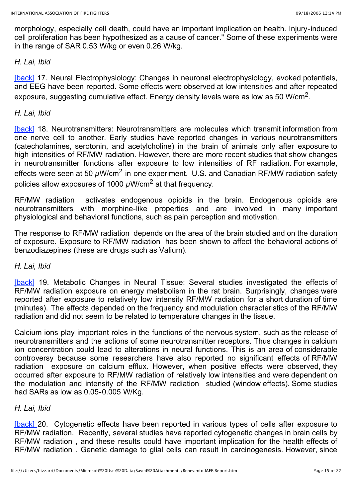morphology, especially cell death, could have an important implication on health. Injury-induced cell proliferation has been hypothesized as a cause of cancer." Some of these experiments were in the range of SAR 0.53 W/kg or even 0.26 W/kg.

## *H. Lai, Ibid*

[back] 17. Neural Electrophysiology: Changes in neuronal electrophysiology, evoked potentials, and EEG have been reported. Some effects were observed at low intensities and after repeated exposure, suggesting cumulative effect. Energy density levels were as low as 50 W/cm2.

### *H. Lai, Ibid*

[back] 18. Neurotransmitters: Neurotransmitters are molecules which transmit information from one nerve cell to another. Early studies have reported changes in various neurotransmitters (catecholamines, serotonin, and acetylcholine) in the brain of animals only after exposure to high intensities of RF/MW radiation. However, there are more recent studies that show changes in neurotransmitter functions after exposure to low intensities of RF radiation. For example, effects were seen at 50  $\mu$ W/cm<sup>2</sup> in one experiment. U.S. and Canadian RF/MW radiation safety policies allow exposures of 1000 *µ*W/cm<sup>2</sup> at that frequency.

RF/MW radiation activates endogenous opioids in the brain. Endogenous opioids are neurotransmitters with morphine-like properties and are involved in many important physiological and behavioral functions, such as pain perception and motivation.

The response to RF/MW radiation depends on the area of the brain studied and on the duration of exposure. Exposure to RF/MW radiation has been shown to affect the behavioral actions of benzodiazepines (these are drugs such as Valium).

### *H. Lai, Ibid*

[back] 19. Metabolic Changes in Neural Tissue: Several studies investigated the effects of RF/MW radiation exposure on energy metabolism in the rat brain. Surprisingly, changes were reported after exposure to relatively low intensity RF/MW radiation for a short duration of time (minutes). The effects depended on the frequency and modulation characteristics of the RF/MW radiation and did not seem to be related to temperature changes in the tissue.

Calcium ions play important roles in the functions of the nervous system, such as the release of neurotransmitters and the actions of some neurotransmitter receptors. Thus changes in calcium ion concentration could lead to alterations in neural functions. This is an area of considerable controversy because some researchers have also reported no significant effects of RF/MW radiation exposure on calcium efflux. However, when positive effects were observed, they occurred after exposure to RF/MW radiation of relatively low intensities and were dependent on the modulation and intensity of the RF/MW radiation studied (window effects). Some studies had SARs as low as 0.05-0.005 W/Kg.

### *H. Lai, Ibid*

[back] 20. Cytogenetic effects have been reported in various types of cells after exposure to RF/MW radiation. Recently, several studies have reported cytogenetic changes in brain cells by RF/MW radiation , and these results could have important implication for the health effects of RF/MW radiation . Genetic damage to glial cells can result in carcinogenesis. However, since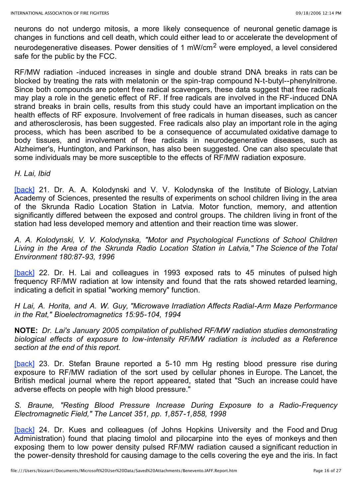neurons do not undergo mitosis, a more likely consequence of neuronal genetic damage is changes in functions and cell death, which could either lead to or accelerate the development of neurodegenerative diseases. Power densities of 1 mW/cm<sup>2</sup> were employed, a level considered safe for the public by the FCC.

RF/MW radiation -induced increases in single and double strand DNA breaks in rats can be blocked by treating the rats with melatonin or the spin-trap compound N-t-butyl--phenylnitrone. Since both compounds are potent free radical scavengers, these data suggest that free radicals may play a role in the genetic effect of RF. If free radicals are involved in the RF-induced DNA strand breaks in brain cells, results from this study could have an important implication on the health effects of RF exposure. Involvement of free radicals in human diseases, such as cancer and atherosclerosis, has been suggested. Free radicals also play an important role in the aging process, which has been ascribed to be a consequence of accumulated oxidative damage to body tissues, and involvement of free radicals in neurodegenerative diseases, such as Alzheimer's, Huntington, and Parkinson, has also been suggested. One can also speculate that some individuals may be more susceptible to the effects of RF/MW radiation exposure.

*H. Lai, Ibid*

[back] 21. Dr. A. A. Kolodynski and V. V. Kolodynska of the Institute of Biology, Latvian Academy of Sciences, presented the results of experiments on school children living in the area of the Skrunda Radio Location Station in Latvia. Motor function, memory, and attention significantly differed between the exposed and control groups. The children living in front of the station had less developed memory and attention and their reaction time was slower.

*A. A. Kolodynski, V. V. Kolodynska, "Motor and Psychological Functions of School Children Living in the Area of the Skrunda Radio Location Station in Latvia," The Science of the Total Environment 180:87-93, 1996*

[back] 22. Dr. H. Lai and colleagues in 1993 exposed rats to 45 minutes of pulsed high frequency RF/MW radiation at low intensity and found that the rats showed retarded learning, indicating a deficit in spatial "working memory" function.

*H Lai, A. Horita, and A. W. Guy, "Microwave Irradiation Affects Radial-Arm Maze Performance in the Rat," Bioelectromagnetics 15:95-104, 1994*

**NOTE:** *Dr. Lai's January 2005 compilation of published RF/MW radiation studies demonstrating biological effects of exposure to low-intensity RF/MW radiation is included as a Reference section at the end of this report.*

[back] 23. Dr. Stefan Braune reported a 5-10 mm Hg resting blood pressure rise during exposure to RF/MW radiation of the sort used by cellular phones in Europe. The Lancet, the British medical journal where the report appeared, stated that "Such an increase could have adverse effects on people with high blood pressure."

*S. Braune, "Resting Blood Pressure Increase During Exposure to a Radio-Frequency Electromagnetic Field," The Lancet 351, pp. 1,857-1,858, 1998*

[back] 24. Dr. Kues and colleagues (of Johns Hopkins University and the Food and Drug Administration) found that placing timolol and pilocarpine into the eyes of monkeys and then exposing them to low power density pulsed RF/MW radiation caused a significant reduction in the power-density threshold for causing damage to the cells covering the eye and the iris. In fact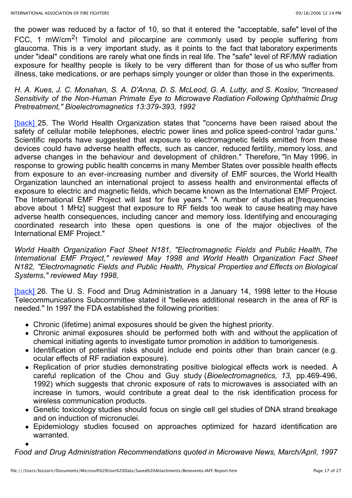the power was reduced by a factor of 10, so that it entered the "acceptable, safe" level of the FCC, 1 mW/cm<sup>2</sup>! Timolol and pilocarpine are commonly used by people suffering from glaucoma. This is a very important study, as it points to the fact that laboratory experiments under "ideal" conditions are rarely what one finds in real life. The "safe" level of RF/MW radiation exposure for healthy people is likely to be very different than for those of us who suffer from illness, take medications, or are perhaps simply younger or older than those in the experiments.

*H. A. Kues, J. C. Monahan, S. A. D'Anna, D. S. McLeod, G. A. Lutty, and S. Koslov, "Increased Sensitivity of the Non-Human Primate Eye to Microwave Radiation Following Ophthalmic Drug Pretreatment," Bioelectromagnetics 13:379-393, 1992*

[back] 25. The World Health Organization states that "concerns have been raised about the safety of cellular mobile telephones, electric power lines and police speed-control 'radar guns.' Scientific reports have suggested that exposure to electromagnetic fields emitted from these devices could have adverse health effects, such as cancer, reduced fertility, memory loss, and adverse changes in the behaviour and development of children." Therefore, "In May 1996, in response to growing public health concerns in many Member States over possible health effects from exposure to an ever-increasing number and diversity of EMF sources, the World Health Organization launched an international project to assess health and environmental effects of exposure to electric and magnetic fields, which became known as the International EMF Project. The International EMF Project will last for five years." "A number of studies at [frequencies above about 1 MHz] suggest that exposure to RF fields too weak to cause heating may have adverse health consequences, including cancer and memory loss. Identifying and encouraging coordinated research into these open questions is one of the major objectives of the International EMF Project."

*World Health Organization Fact Sheet N181, "Electromagnetic Fields and Public Health, The International EMF Project," reviewed May 1998 and World Health Organization Fact Sheet N182, "Electromagnetic Fields and Public Health, Physical Properties and Effects on Biological Systems," reviewed May 1998,*

[back] 26. The U. S. Food and Drug Administration in a January 14, 1998 letter to the House Telecommunications Subcommittee stated it "believes additional research in the area of RF is needed." In 1997 the FDA established the following priorities:

- Chronic (lifetime) animal exposures should be given the highest priority.
- Chronic animal exposures should be performed both with and without the application of chemical initiating agents to investigate tumor promotion in addition to tumorigenesis.
- Identification of potential risks should include end points other than brain cancer (e.g. ocular effects of RF radiation exposure).
- Replication of prior studies demonstrating positive biological effects work is needed. A careful replication of the Chou and Guy study (*Bioelectromagnetics, 13,* pp.469-496, 1992) which suggests that chronic exposure of rats to microwaves is associated with an increase in tumors, would contribute a great deal to the risk identification process for wireless communication products.
- Genetic toxicology studies should focus on single cell gel studies of DNA strand breakage and on induction of micronuclei.
- Epidemiology studies focused on approaches optimized for hazard identification are warranted.

*Food and Drug Administration Recommendations quoted in Microwave News, March/April, 1997*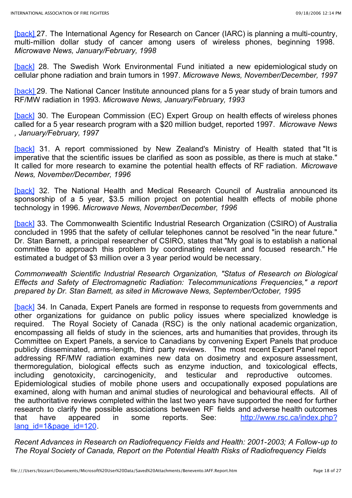[back] 27. The International Agency for Research on Cancer (IARC) is planning a multi-country, multi-million dollar study of cancer among users of wireless phones, beginning 1998. *Microwave News, January/February, 1998*

[back] 28. The Swedish Work Environmental Fund initiated a new epidemiological study on cellular phone radiation and brain tumors in 1997. *Microwave News, November/December, 1997*

[back] 29. The National Cancer Institute announced plans for a 5 year study of brain tumors and RF/MW radiation in 1993. *Microwave News, January/February, 1993*

[back] 30. The European Commission (EC) Expert Group on health effects of wireless phones called for a 5 year research program with a \$20 million budget, reported 1997. *Microwave News , January/February, 1997*

[back] 31. A report commissioned by New Zealand's Ministry of Health stated that "It is imperative that the scientific issues be clarified as soon as possible, as there is much at stake." It called for more research to examine the potential health effects of RF radiation. *Microwave News, November/December, 1996*

[back] 32. The National Health and Medical Research Council of Australia announced its sponsorship of a 5 year, \$3.5 million project on potential health effects of mobile phone technology in 1996. *Microwave News, November/December, 1996*

[back] 33. The Commonwealth Scientific Industrial Research Organization (CSIRO) of Australia concluded in 1995 that the safety of cellular telephones cannot be resolved "in the near future." Dr. Stan Barnett, a principal researcher of CSIRO, states that "My goal is to establish a national committee to approach this problem by coordinating relevant and focused research." He estimated a budget of \$3 million over a 3 year period would be necessary.

*Commonwealth Scientific Industrial Research Organization, "Status of Research on Biological Effects and Safety of Electromagnetic Radiation: Telecommunications Frequencies," a report prepared by Dr. Stan Barnett, as sited in Microwave News, September/October, 1995*

[back] 34. In Canada, Expert Panels are formed in response to requests from governments and other organizations for guidance on public policy issues where specialized knowledge is required. The Royal Society of Canada (RSC) is the only national academic organization, encompassing all fields of study in the sciences, arts and humanities that provides, through its Committee on Expert Panels, a service to Canadians by convening Expert Panels that produce publicly disseminated, arms-length, third party reviews. The most recent Expert Panel report addressing RF/MW radiation examines new data on dosimetry and exposure assessment, thermoregulation, biological effects such as enzyme induction, and toxicological effects, including genotoxicity, carcinogenicity, and testicular and reproductive outcomes. Epidemiological studies of mobile phone users and occupationally exposed populations are examined, along with human and animal studies of neurological and behavioural effects. All of the authoritative reviews completed within the last two years have supported the need for further research to clarify the possible associations between RF fields and adverse health outcomes that have appeared in some reports. See: http://www.rsc.ca/index.php? lang\_id=1&page\_id=120.

*Recent Advances in Research on Radiofrequency Fields and Health: 2001-2003; A Follow-up to The Royal Society of Canada, Report on the Potential Health Risks of Radiofrequency Fields*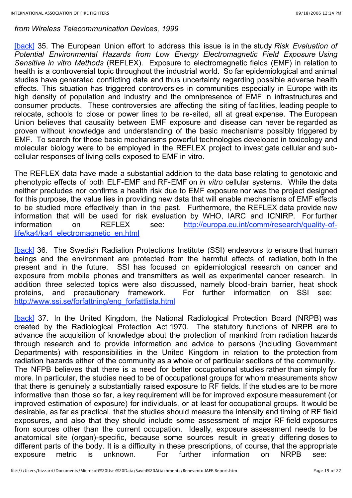### *from Wireless Telecommunication Devices, 1999*

[back] 35. The European Union effort to address this issue is in the study *Risk Evaluation of Potential Environmental Hazards from Low Energy Electromagnetic Field Exposure Using Sensitive in vitro Methods* (REFLEX). Exposure to electromagnetic fields (EMF) in relation to health is a controversial topic throughout the industrial world. So far epidemiological and animal studies have generated conflicting data and thus uncertainty regarding possible adverse health effects. This situation has triggered controversies in communities especially in Europe with its high density of population and industry and the omnipresence of EMF in infrastructures and consumer products. These controversies are affecting the siting of facilities, leading people to relocate, schools to close or power lines to be re-sited, all at great expense. The European Union believes that causality between EMF exposure and disease can never be regarded as proven without knowledge and understanding of the basic mechanisms possibly triggered by EMF. To search for those basic mechanisms powerful technologies developed in toxicology and molecular biology were to be employed in the REFLEX project to investigate cellular and subcellular responses of living cells exposed to EMF in vitro.

The REFLEX data have made a substantial addition to the data base relating to genotoxic and phenotypic effects of both ELF-EMF and RF-EMF on *in vitro* cellular systems. While the data neither precludes nor confirms a health risk due to EMF exposure nor was the project designed for this purpose, the value lies in providing new data that will enable mechanisms of EMF effects to be studied more effectively than in the past. Furthermore, the REFLEX data provide new information that will be used for risk evaluation by WHO, IARC and ICNIRP. For further information on REFLEX see: http://europa.eu.int/comm/research/quality-oflife/ka4/ka4\_electromagnetic\_en.html

[back] 36. The Swedish Radiation Protections Institute (SSI) endeavors to ensure that human beings and the environment are protected from the harmful effects of radiation, both in the present and in the future. SSI has focused on epidemiological research on cancer and exposure from mobile phones and transmitters as well as experimental cancer research. In addition three selected topics were also discussed, namely blood-brain barrier, heat shock proteins, and precautionary framework. For further information on SSI see: http://www.ssi.se/forfattning/eng\_forfattlista.html

[back] 37. In the United Kingdom, the National Radiological Protection Board (NRPB) was created by the Radiological Protection Act 1970. The statutory functions of NRPB are to advance the acquisition of knowledge about the protection of mankind from radiation hazards through research and to provide information and advice to persons (including Government Departments) with responsibilities in the United Kingdom in relation to the protection from radiation hazards either of the community as a whole or of particular sections of the community. The NFPB believes that there is a need for better occupational studies rather than simply for more. In particular, the studies need to be of occupational groups for whom measurements show that there is genuinely a substantially raised exposure to RF fields. If the studies are to be more informative than those so far, a key requirement will be for improved exposure measurement (or improved estimation of exposure) for individuals, or at least for occupational groups. It would be desirable, as far as practical, that the studies should measure the intensity and timing of RF field exposures, and also that they should include some assessment of major RF field exposures from sources other than the current occupation. Ideally, exposure assessment needs to be anatomical site (organ)-specific, because some sources result in greatly differing doses to different parts of the body. It is a difficulty in these prescriptions, of course, that the appropriate exposure metric is unknown. For further information on NRPB see: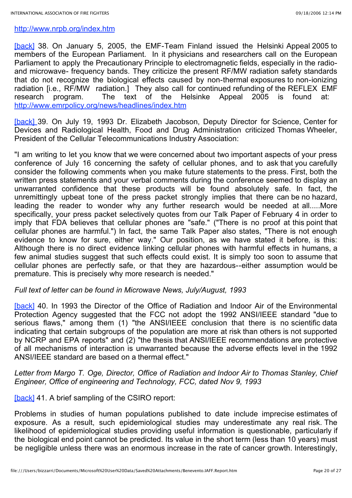### http://www.nrpb.org/index.htm

[back] 38. On January 5, 2005, the EMF-Team Finland issued the Helsinki Appeal 2005 to members of the European Parliament. In it physicians and researchers call on the European Parliament to apply the Precautionary Principle to electromagnetic fields, especially in the radioand microwave- frequency bands. They criticize the present RF/MW radiation safety standards that do not recognize the biological effects caused by non-thermal exposures to non-ionizing radiation [i.e., RF/MW radiation.] They also call for continued refunding of the REFLEX EMF research program. The text of the Helsinke Appeal 2005 is found at: http://www.emrpolicy.org/news/headlines/index.htm

[back] 39. On July 19, 1993 Dr. Elizabeth Jacobson, Deputy Director for Science, Center for Devices and Radiological Health, Food and Drug Administration criticized Thomas Wheeler, President of the Cellular Telecommunications Industry Association:

"I am writing to let you know that we were concerned about two important aspects of your press conference of July 16 concerning the safety of cellular phones, and to ask that you carefully consider the following comments when you make future statements to the press. First, both the written press statements and your verbal comments during the conference seemed to display an unwarranted confidence that these products will be found absolutely safe. In fact, the unremittingly upbeat tone of the press packet strongly implies that there can be no hazard, leading the reader to wonder why any further research would be needed at all.....More specifically, your press packet selectively quotes from our Talk Paper of February 4 in order to imply that FDA believes that cellular phones are "safe." ("There is no proof at this point that cellular phones are harmful.") In fact, the same Talk Paper also states, "There is not enough evidence to know for sure, either way." Our position, as we have stated it before, is this: Although there is no direct evidence linking cellular phones with harmful effects in humans, a few animal studies suggest that such effects could exist. It is simply too soon to assume that cellular phones are perfectly safe, or that they are hazardous--either assumption would be premature. This is precisely why more research is needed."

#### *Full text of letter can be found in Microwave News, July/August, 1993*

[back] 40. In 1993 the Director of the Office of Radiation and Indoor Air of the Environmental Protection Agency suggested that the FCC not adopt the 1992 ANSI/IEEE standard "due to serious flaws," among them (1) "the ANSI/IEEE conclusion that there is no scientific data indicating that certain subgroups of the population are more at risk than others is not supported by NCRP and EPA reports" and (2) "the thesis that ANSI/IEEE recommendations are protective of all mechanisms of interaction is unwarranted because the adverse effects level in the 1992 ANSI/IEEE standard are based on a thermal effect."

*Letter from Margo T. Oge, Director, Office of Radiation and Indoor Air to Thomas Stanley, Chief Engineer, Office of engineering and Technology, FCC, dated Nov 9, 1993*

### [back] 41. A brief sampling of the CSIRO report:

Problems in studies of human populations published to date include imprecise estimates of exposure. As a result, such epidemiological studies may underestimate any real risk. The likelihood of epidemiological studies providing useful information is questionable, particularly if the biological end point cannot be predicted. Its value in the short term (less than 10 years) must be negligible unless there was an enormous increase in the rate of cancer growth. Interestingly,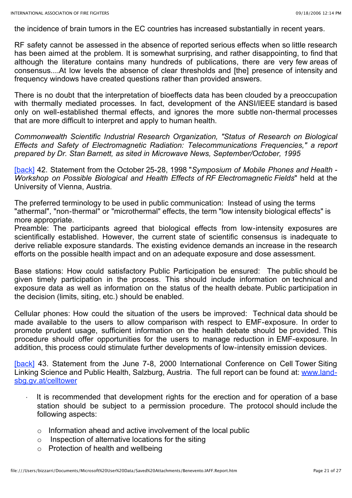the incidence of brain tumors in the EC countries has increased substantially in recent years.

RF safety cannot be assessed in the absence of reported serious effects when so little research has been aimed at the problem. It is somewhat surprising, and rather disappointing, to find that although the literature contains many hundreds of publications, there are very few areas of consensus....At low levels the absence of clear thresholds and [the] presence of intensity and frequency windows have created questions rather than provided answers.

There is no doubt that the interpretation of bioeffects data has been clouded by a preoccupation with thermally mediated processes. In fact, development of the ANSI/IEEE standard is based only on well-established thermal effects, and ignores the more subtle non-thermal processes that are more difficult to interpret and apply to human health.

*Commonwealth Scientific Industrial Research Organization, "Status of Research on Biological Effects and Safety of Electromagnetic Radiation: Telecommunications Frequencies," a report prepared by Dr. Stan Barnett, as sited in Microwave News, September/October, 1995*

[back] 42. Statement from the October 25-28, 1998 "*Symposium of Mobile Phones and Health - Workshop on Possible Biological and Health Effects of RF Electromagnetic Fields*" held at the University of Vienna, Austria.

The preferred terminology to be used in public communication: Instead of using the terms "athermal", "non-thermal" or "microthermal" effects, the term "low intensity biological effects" is more appropriate.

Preamble: The participants agreed that biological effects from low-intensity exposures are scientifically established. However, the current state of scientific consensus is inadequate to derive reliable exposure standards. The existing evidence demands an increase in the research efforts on the possible health impact and on an adequate exposure and dose assessment.

Base stations: How could satisfactory Public Participation be ensured: The public should be given timely participation in the process. This should include information on technical and exposure data as well as information on the status of the health debate. Public participation in the decision (limits, siting, etc.) should be enabled.

Cellular phones: How could the situation of the users be improved: Technical data should be made available to the users to allow comparison with respect to EMF-exposure. In order to promote prudent usage, sufficient information on the health debate should be provided. This procedure should offer opportunities for the users to manage reduction in EMF-exposure. In addition, this process could stimulate further developments of low-intensity emission devices.

[back] 43. Statement from the June 7-8, 2000 International Conference on Cell Tower Siting Linking Science and Public Health, Salzburg, Austria. The full report can be found at: www.landsbg.gv.at/celltower

- · It is recommended that development rights for the erection and for operation of a base station should be subject to a permission procedure. The protocol should include the following aspects:
	- o Information ahead and active involvement of the local public
	- o Inspection of alternative locations for the siting
	- o Protection of health and wellbeing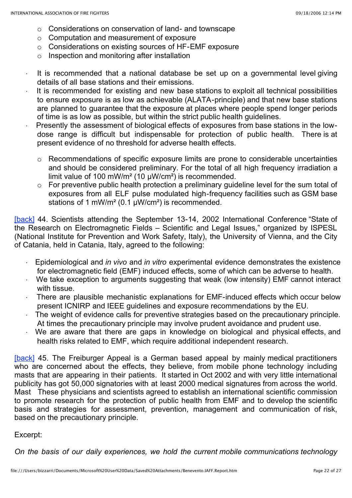- o Considerations on conservation of land- and townscape
- o Computation and measurement of exposure
- o Considerations on existing sources of HF-EMF exposure
- o Inspection and monitoring after installation
- $\cdot$  It is recommended that a national database be set up on a governmental level giving details of all base stations and their emissions.
- · It is recommended for existing and new base stations to exploit all technical possibilities to ensure exposure is as low as achievable (ALATA-principle) and that new base stations are planned to guarantee that the exposure at places where people spend longer periods of time is as low as possible, but within the strict public health guidelines.
- · Presently the assessment of biological effects of exposures from base stations in the lowdose range is difficult but indispensable for protection of public health. There is at present evidence of no threshold for adverse health effects.
	- o Recommendations of specific exposure limits are prone to considerable uncertainties and should be considered preliminary. For the total of all high frequency irradiation a limit value of 100 mW/m<sup>2</sup> (10 µW/cm<sup>2</sup>) is recommended.
	- $\circ$  For preventive public health protection a preliminary quideline level for the sum total of exposures from all ELF pulse modulated high-frequency facilities such as GSM base stations of 1 mW/m<sup>2</sup> (0.1 µW/cm<sup>2</sup>) is recommended.

[back] 44. Scientists attending the September 13-14, 2002 International Conference "State of the Research on Electromagnetic Fields – Scientific and Legal Issues," organized by ISPESL (National Institute for Prevention and Work Safety, Italy), the University of Vienna, and the City of Catania, held in Catania, Italy, agreed to the following:

- · Epidemiological and *in vivo* and *in vitro* experimental evidence demonstrates the existence for electromagnetic field (EMF) induced effects, some of which can be adverse to health.
- · We take exception to arguments suggesting that weak (low intensity) EMF cannot interact with tissue.
- There are plausible mechanistic explanations for EMF-induced effects which occur below present ICNIRP and IEEE guidelines and exposure recommendations by the EU.
- $\cdot$  The weight of evidence calls for preventive strategies based on the precautionary principle. At times the precautionary principle may involve prudent avoidance and prudent use.
- We are aware that there are gaps in knowledge on biological and physical effects, and health risks related to EMF, which require additional independent research.

[back] 45. The Freiburger Appeal is a German based appeal by mainly medical practitioners who are concerned about the effects, they believe, from mobile phone technology including masts that are appearing in their patients. It started in Oct 2002 and with very little international publicity has got 50,000 signatories with at least 2000 medical signatures from across the world. Mast These physicians and scientists agreed to establish an international scientific commission to promote research for the protection of public health from EMF and to develop the scientific basis and strategies for assessment, prevention, management and communication of risk, based on the precautionary principle.

## Excerpt:

*On the basis of our daily experiences, we hold the current mobile communications technology*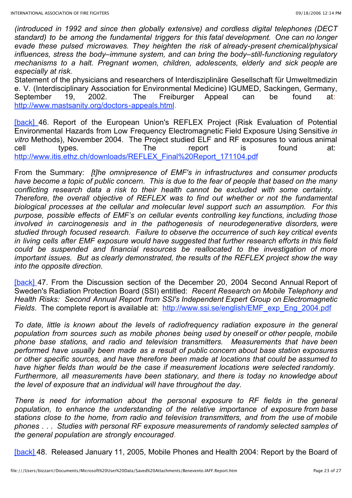*(introduced in 1992 and since then globally extensive) and cordless digital telephones (DECT standard) to be among the fundamental triggers for this fatal development. One can no longer evade these pulsed microwaves. They heighten the risk of already-present chemical/physical influences, stress the body–immune system, and can bring the body–still-functioning regulatory mechanisms to a halt. Pregnant women, children, adolescents, elderly and sick people are especially at risk.*

Statement of the physicians and researchers of Interdisziplinäre Gesellschaft für Umweltmedizin e. V. (Interdisciplinary Association for Environmental Medicine) IGUMED, Sackingen, Germany, September 19, 2002. The Freiburger Appeal can be found at: http://www.mastsanity.org/doctors-appeals.html.

[back] 46. Report of the European Union's REFLEX Project (Risk Evaluation of Potential Environmental Hazards from Low Frequency Electromagnetic Field Exposure Using Sensitive *in vitro* Methods), November 2004. The Project studied ELF and RF exposures to various animal cell types. The report is found at: http://www.itis.ethz.ch/downloads/REFLEX\_Final%20Report\_171104.pdf

From the Summary: *[t]he omnipresence of EMF's in infrastructures and consumer products* have become a topic of public concern. This is due to the fear of people that based on the many *conflicting research data a risk to their health cannot be excluded with some certainty. Therefore, the overall objective of REFLEX was to find out whether or not the fundamental biological processes at the cellular and molecular level support such an assumption. For this purpose, possible effects of EMF's on cellular events controlling key functions, including those involved in carcinogenesis and in the pathogenesis of neurodegenerative disorders, were studied through focused research. Failure to observe the occurrence of such key critical events in living cells after EMF exposure would have suggested that further research efforts in this field could be suspended and financial resources be reallocated to the investigation of more important issues. But as clearly demonstrated, the results of the REFLEX project show the way into the opposite direction.*

[back] 47. From the Discussion section of the December 20, 2004 Second Annual Report of Sweden's Radiation Protection Board (SSI) entitled: *Recent Research on Mobile Telephony and Health Risks: Second Annual Report from SSI's Independent Expert Group on Electromagnetic Fields*. The complete report is available at: http://www.ssi.se/english/EMF\_exp\_Eng\_2004.pdf

*To date, little is known about the levels of radiofrequency radiation exposure in the general population from sources such as mobile phones being used by oneself or other people, mobile phone base stations, and radio and television transmitters. Measurements that have been performed have usually been made as a result of public concern about base station exposures or other specific sources, and have therefore been made at locations that could be assumed to have higher fields than would be the case if measurement locations were selected randomly. Furthermore, all measurements have been stationary, and there is today no knowledge about the level of exposure that an individual will have throughout the day.*

*There is need for information about the personal exposure to RF fields in the general population, to enhance the understanding of the relative importance of exposure from base stations close to the home, from radio and television transmitters, and from the use of mobile phones . . . Studies with personal RF exposure measurements of randomly selected samples of the general population are strongly encouraged.*

[back] 48. Released January 11, 2005, Mobile Phones and Health 2004: Report by the Board of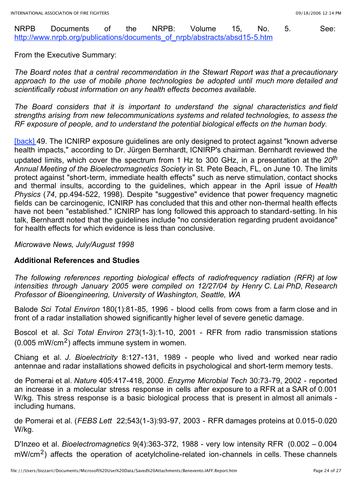NRPB Documents of the NRPB: Volume 15, No. 5. See: http://www.nrpb.org/publications/documents\_of\_nrpb/abstracts/absd15-5.htm

From the Executive Summary:

*The Board notes that a central recommendation in the Stewart Report was that a precautionary approach to the use of mobile phone technologies be adopted until much more detailed and scientifically robust information on any health effects becomes available.*

*The Board considers that it is important to understand the signal characteristics and field strengths arising from new telecommunications systems and related technologies, to assess the RF exposure of people, and to understand the potential biological effects on the human body.*

[back] 49. The ICNIRP exposure guidelines are only designed to protect against "known adverse" health impacts," according to Dr. Jürgen Bernhardt, ICNIRP's chairman. Bernhardt reviewed the updated limits, which cover the spectrum from 1 Hz to 300 GHz, in a presentation at the *20th Annual Meeting of the Bioelectromagnetics Society* in St. Pete Beach, FL, on June 10. The limits protect against "short-term, immediate health effects" such as nerve stimulation, contact shocks and thermal insults, according to the guidelines, which appear in the April issue of *Health Physics* (*74*, pp.494-522, 1998). Despite "suggestive" evidence that power frequency magnetic fields can be carcinogenic, ICNIRP has concluded that this and other non-thermal health effects have not been "established." ICNIRP has long followed this approach to standard-setting. In his talk, Bernhardt noted that the guidelines include "no consideration regarding prudent avoidance" for health effects for which evidence is less than conclusive.

*Microwave News, July/August 1998*

### **Additional References and Studies**

*The following references reporting biological effects of radiofrequency radiation (RFR) at low intensities through January 2005 were compiled on 12/27/04 by Henry C. Lai PhD, Research Professor of Bioengineering, University of Washington, Seattle, WA*

Balode *Sci Total Environ* 180(1):81-85, 1996 - blood cells from cows from a farm close and in front of a radar installation showed significantly higher level of severe genetic damage.

Boscol et al. *Sci Total Environ* 273(1-3):1-10, 2001 - RFR from radio transmission stations  $(0.005 \text{ mW/cm}^2)$  affects immune system in women.

Chiang et al. *J. Bioelectricity* 8:127-131, 1989 - people who lived and worked near radio antennae and radar installations showed deficits in psychological and short-term memory tests.

de Pomerai et al. *Nature* 405:417-418, 2000. *Enzyme Microbial Tech* 30:73-79, 2002 - reported an increase in a molecular stress response in cells after exposure to a RFR at a SAR of 0.001 W/kg. This stress response is a basic biological process that is present in almost all animals including humans.

de Pomerai et al. (*FEBS Lett* 22;543(1-3):93-97, 2003 - RFR damages proteins at 0.015-0.020 W/kg.

D'Inzeo et al. *Bioelectromagnetics* 9(4):363-372, 1988 - very low intensity RFR (0.002 – 0.004 mW/cm2) affects the operation of acetylcholine-related ion-channels in cells. These channels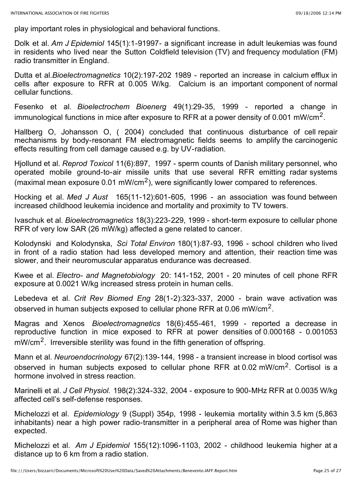play important roles in physiological and behavioral functions.

Dolk et al. *Am J Epidemiol* 145(1):1-91997- a significant increase in adult leukemias was found in residents who lived near the Sutton Coldfield television (TV) and frequency modulation (FM) radio transmitter in England.

Dutta et al.*Bioelectromagnetics* 10(2):197-202 1989 - reported an increase in calcium efflux in cells after exposure to RFR at 0.005 W/kg. Calcium is an important component of normal cellular functions.

Fesenko et al. *Bioelectrochem Bioenerg* 49(1):29-35, 1999 - reported a change in immunological functions in mice after exposure to RFR at a power density of 0.001 mW/cm<sup>2</sup>.

Hallberg O, Johansson O, ( 2004) concluded that continuous disturbance of cell repair mechanisms by body-resonant FM electromagnetic fields seems to amplify the carcinogenic effects resulting from cell damage caused e.g. by UV-radiation.

Hjollund et al. *Reprod Toxicol* 11(6):897, 1997 - sperm counts of Danish military personnel, who operated mobile ground-to-air missile units that use several RFR emitting radar systems (maximal mean exposure  $0.01$  mW/cm<sup>2</sup>), were significantly lower compared to references.

Hocking et al. *Med J Aust* 165(11-12):601-605, 1996 - an association was found between increased childhood leukemia incidence and mortality and proximity to TV towers.

Ivaschuk et al. *Bioelectromagnetics* 18(3):223-229, 1999 - short-term exposure to cellular phone RFR of very low SAR (26 mW/kg) affected a gene related to cancer.

Kolodynski and Kolodynska, *Sci Total Environ* 180(1):87-93, 1996 - school children who lived in front of a radio station had less developed memory and attention, their reaction time was slower, and their neuromuscular apparatus endurance was decreased.

Kwee et al. *Electro- and Magnetobiology* 20: 141-152, 2001 - 20 minutes of cell phone RFR exposure at 0.0021 W/kg increased stress protein in human cells.

Lebedeva et al. *Crit Rev Biomed Eng* 28(1-2):323-337, 2000 - brain wave activation was observed in human subjects exposed to cellular phone RFR at 0.06 mW/cm2.

Magras and Xenos *Bioelectromagnetics* 18(6):455-461, 1999 - reported a decrease in reproductive function in mice exposed to RFR at power densities of 0.000168 - 0.001053 mW/cm<sup>2</sup>. Irreversible sterility was found in the fifth generation of offspring.

Mann et al. *Neuroendocrinology* 67(2):139-144, 1998 - a transient increase in blood cortisol was observed in human subjects exposed to cellular phone RFR at 0.02 mW/cm<sup>2</sup>. Cortisol is a hormone involved in stress reaction.

Marinelli et al. *J Cell Physiol.* 198(2):324-332, 2004 - exposure to 900-MHz RFR at 0.0035 W/kg affected cell's self-defense responses.

Michelozzi et al. *Epidemiology* 9 (Suppl) 354p, 1998 - leukemia mortality within 3.5 km (5,863 inhabitants) near a high power radio-transmitter in a peripheral area of Rome was higher than expected.

Michelozzi et al. *Am J Epidemiol* 155(12):1096-1103, 2002 - childhood leukemia higher at a distance up to 6 km from a radio station.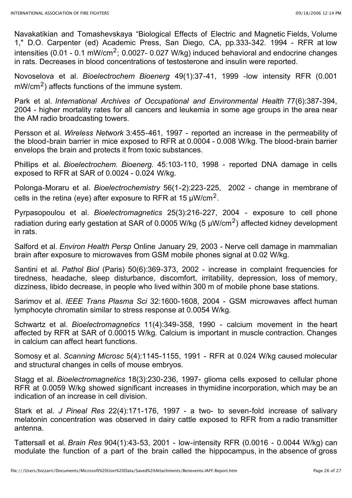Navakatikian and Tomashevskaya "Biological Effects of Electric and Magnetic Fields, Volume 1," D.O. Carpenter (ed) Academic Press, San Diego, CA, pp.333-342. 1994 - RFR at low intensities (0.01 - 0.1 mW/cm<sup>2</sup>; 0.0027- 0.027 W/kg) induced behavioral and endocrine changes in rats. Decreases in blood concentrations of testosterone and insulin were reported.

Novoselova et al. *Bioelectrochem Bioenerg* 49(1):37-41, 1999 -low intensity RFR (0.001 mW/cm<sup>2</sup>) affects functions of the immune system.

Park et al. *International Archives of Occupational and Environmental Health* 77(6):387-394, 2004 - higher mortality rates for all cancers and leukemia in some age groups in the area near the AM radio broadcasting towers.

Persson et al. *Wireless Network* 3:455-461, 1997 - reported an increase in the permeability of the blood-brain barrier in mice exposed to RFR at 0.0004 - 0.008 W/kg. The blood-brain barrier envelops the brain and protects it from toxic substances.

Phillips et al. *Bioelectrochem. Bioenerg.* 45:103-110, 1998 - reported DNA damage in cells exposed to RFR at SAR of 0.0024 - 0.024 W/kg.

Polonga-Moraru et al. *Bioelectrochemistry* 56(1-2):223-225, 2002 - change in membrane of cells in the retina (eye) after exposure to RFR at 15 µW/cm<sup>2</sup>.

Pyrpasopoulou et al. *Bioelectromagnetics* 25(3):216-227, 2004 - exposure to cell phone radiation during early gestation at SAR of 0.0005 W/kg (5  $\mu$ W/cm<sup>2</sup>) affected kidney development in rats.

Salford et al. *Environ Health Persp* Online January 29, 2003 - Nerve cell damage in mammalian brain after exposure to microwaves from GSM mobile phones signal at 0.02 W/kg.

Santini et al. *Pathol Biol* (Paris) 50(6):369-373, 2002 - increase in complaint frequencies for tiredness, headache, sleep disturbance, discomfort, irritability, depression, loss of memory, dizziness, libido decrease, in people who lived within 300 m of mobile phone base stations.

Sarimov et al. *IEEE Trans Plasma Sci* 32:1600-1608, 2004 - GSM microwaves affect human lymphocyte chromatin similar to stress response at 0.0054 W/kg.

Schwartz et al. *Bioelectromagnetics* 11(4):349-358, 1990 - calcium movement in the heart affected by RFR at SAR of 0.00015 W/kg. Calcium is important in muscle contraction. Changes in calcium can affect heart functions.

Somosy et al. *Scanning Microsc* 5(4):1145-1155, 1991 - RFR at 0.024 W/kg caused molecular and structural changes in cells of mouse embryos.

Stagg et al. *Bioelectromagnetics* 18(3):230-236, 1997- glioma cells exposed to cellular phone RFR at 0.0059 W/kg showed significant increases in thymidine incorporation, which may be an indication of an increase in cell division.

Stark et al. *J Pineal Res* 22(4):171-176, 1997 - a two- to seven-fold increase of salivary melatonin concentration was observed in dairy cattle exposed to RFR from a radio transmitter antenna.

Tattersall et al. *Brain Res* 904(1):43-53, 2001 - low-intensity RFR (0.0016 - 0.0044 W/kg) can modulate the function of a part of the brain called the hippocampus, in the absence of gross